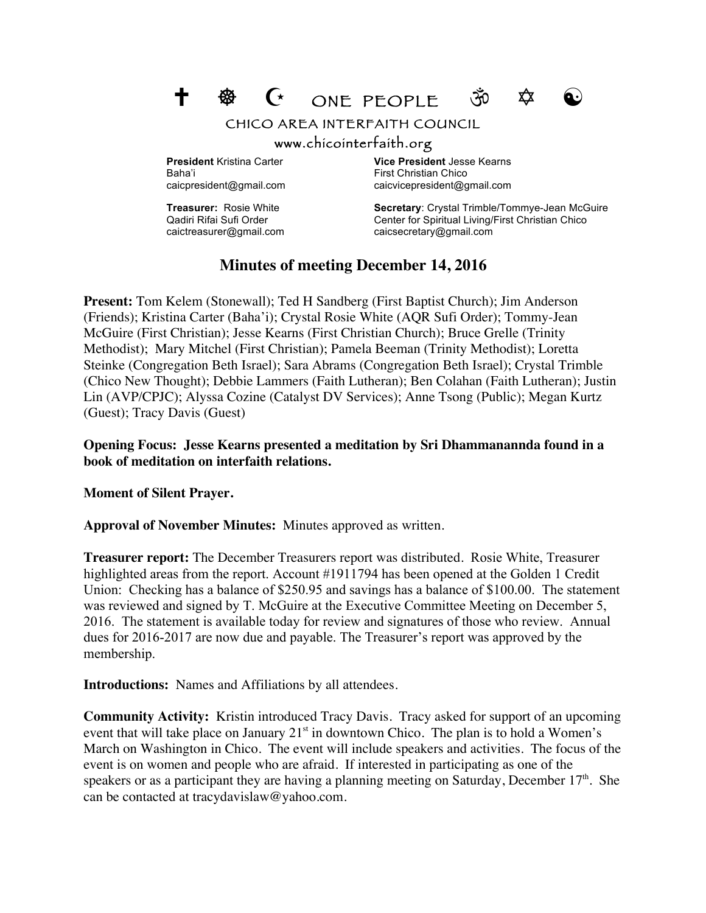$\mathsf{\hat{C}}$  ONE PEOPLE  $\mathsf{\hat{V}}$   $\mathsf{\hat{V}}$ 



CHICO AREA INTERFAITH COUNCIL

## www.chicointerfaith.org

Baha'i **Einest Christian Chico First Christian Chico** 

**President** Kristina Carter **Vice President** Jesse Kearns caicpresident@gmail.com caicvicepresident@gmail.com

**Treasurer:** Rosie White **Secretary**: Crystal Trimble/Tommye-Jean McGuire Qadiri Rifai Sufi Order Center for Spiritual Living/First Christian Chico caictreasurer@gmail.com caicsecretary@gmail.com

## **Minutes of meeting December 14, 2016**

**Present:** Tom Kelem (Stonewall); Ted H Sandberg (First Baptist Church); Jim Anderson (Friends); Kristina Carter (Baha'i); Crystal Rosie White (AQR Sufi Order); Tommy-Jean McGuire (First Christian); Jesse Kearns (First Christian Church); Bruce Grelle (Trinity Methodist); Mary Mitchel (First Christian); Pamela Beeman (Trinity Methodist); Loretta Steinke (Congregation Beth Israel); Sara Abrams (Congregation Beth Israel); Crystal Trimble (Chico New Thought); Debbie Lammers (Faith Lutheran); Ben Colahan (Faith Lutheran); Justin Lin (AVP/CPJC); Alyssa Cozine (Catalyst DV Services); Anne Tsong (Public); Megan Kurtz (Guest); Tracy Davis (Guest)

**Opening Focus: Jesse Kearns presented a meditation by Sri Dhammanannda found in a book of meditation on interfaith relations.**

**Moment of Silent Prayer.**

**Approval of November Minutes:** Minutes approved as written.

**Treasurer report:** The December Treasurers report was distributed. Rosie White, Treasurer highlighted areas from the report. Account #1911794 has been opened at the Golden 1 Credit Union: Checking has a balance of \$250.95 and savings has a balance of \$100.00. The statement was reviewed and signed by T. McGuire at the Executive Committee Meeting on December 5, 2016. The statement is available today for review and signatures of those who review. Annual dues for 2016-2017 are now due and payable. The Treasurer's report was approved by the membership.

**Introductions:** Names and Affiliations by all attendees.

**Community Activity:** Kristin introduced Tracy Davis. Tracy asked for support of an upcoming event that will take place on January  $21<sup>st</sup>$  in downtown Chico. The plan is to hold a Women's March on Washington in Chico. The event will include speakers and activities. The focus of the event is on women and people who are afraid. If interested in participating as one of the speakers or as a participant they are having a planning meeting on Saturday, December  $17<sup>th</sup>$ . She can be contacted at tracydavislaw@yahoo.com.